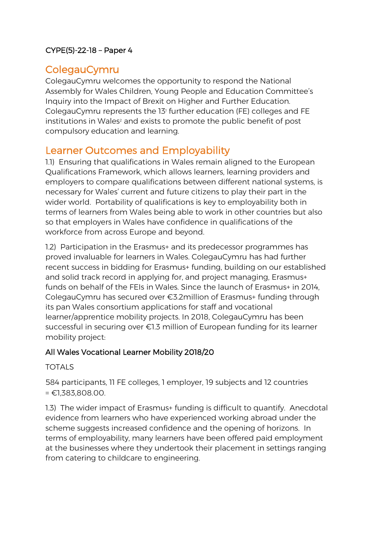### CYPE(5)-22-18 – Paper 4

## ColegauCymru

ColegauCymru welcomes the opportunity to respond the National Assembly for Wales Children, Young People and Education Committee's Inquiry into the Impact of Brexit on Higher and Further Education. ColegauCymru represents the 13<sup>1</sup> further education (FE) colleges and FE institutions in Wales<sup>2</sup> and exists to promote the public benefit of post compulsory education and learning.

## Learner Outcomes and Employability

1.1) Ensuring that qualifications in Wales remain aligned to the European Qualifications Framework, which allows learners, learning providers and employers to compare qualifications between different national systems, is necessary for Wales' current and future citizens to play their part in the wider world. Portability of qualifications is key to employability both in terms of learners from Wales being able to work in other countries but also so that employers in Wales have confidence in qualifications of the workforce from across Europe and beyond.

1.2) Participation in the Erasmus+ and its predecessor programmes has proved invaluable for learners in Wales. ColegauCymru has had further recent success in bidding for Erasmus+ funding, building on our established and solid track record in applying for, and project managing, Erasmus+ funds on behalf of the FEIs in Wales. Since the launch of Erasmus+ in 2014, ColegauCymru has secured over €3.2million of Erasmus+ funding through its pan Wales consortium applications for staff and vocational learner/apprentice mobility projects. In 2018, ColegauCymru has been successful in securing over €1.3 million of European funding for its learner mobility project:

### All Wales Vocational Learner Mobility 2018/20

### TOTALS

584 participants, 11 FE colleges, 1 employer, 19 subjects and 12 countries = €1,383,808.00.

1.3) The wider impact of Erasmus+ funding is difficult to quantify. Anecdotal evidence from learners who have experienced working abroad under the scheme suggests increased confidence and the opening of horizons. In terms of employability, many learners have been offered paid employment at the businesses where they undertook their placement in settings ranging from catering to childcare to engineering.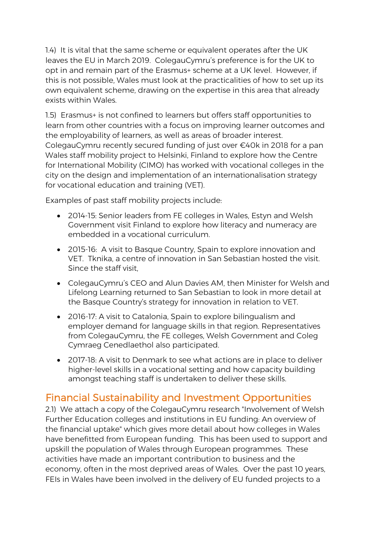1.4) It is vital that the same scheme or equivalent operates after the UK leaves the EU in March 2019. ColegauCymru's preference is for the UK to opt in and remain part of the Erasmus+ scheme at a UK level. However, if this is not possible, Wales must look at the practicalities of how to set up its own equivalent scheme, drawing on the expertise in this area that already exists within Wales.

1.5) Erasmus+ is not confined to learners but offers staff opportunities to learn from other countries with a focus on improving learner outcomes and the employability of learners, as well as areas of broader interest. ColegauCymru recently secured funding of just over €40k in 2018 for a pan Wales staff mobility project to Helsinki, Finland to explore how the Centre for International Mobility (CIMO) has worked with vocational colleges in the city on the design and implementation of an internationalisation strategy for vocational education and training (VET).

Examples of past staff mobility projects include:

- 2014-15: Senior leaders from FE colleges in Wales, Estyn and Welsh Government visit Finland to explore how literacy and numeracy are embedded in a vocational curriculum.
- 2015-16: A visit to Basque Country, Spain to explore innovation and VET. Tknika, a centre of innovation in San Sebastian hosted the visit. Since the staff visit,
- ColegauCymru's CEO and Alun Davies AM, then Minister for Welsh and Lifelong Learning returned to San Sebastian to look in more detail at the Basque Country's strategy for innovation in relation to VET.
- 2016-17: A visit to Catalonia, Spain to explore bilingualism and employer demand for language skills in that region. Representatives from ColegauCymru, the FE colleges, Welsh Government and Coleg Cymraeg Cenedlaethol also participated.
- 2017-18: A visit to Denmark to see what actions are in place to deliver higher-level skills in a vocational setting and how capacity building amongst teaching staff is undertaken to deliver these skills.

# Financial Sustainability and Investment Opportunities

2.1) We attach a copy of the ColegauCymru research "Involvement of Welsh Further Education colleges and institutions in EU funding: An overview of the financial uptake" which gives more detail about how colleges in Wales have benefitted from European funding. This has been used to support and upskill the population of Wales through European programmes. These activities have made an important contribution to business and the economy, often in the most deprived areas of Wales. Over the past 10 years, FEIs in Wales have been involved in the delivery of EU funded projects to a